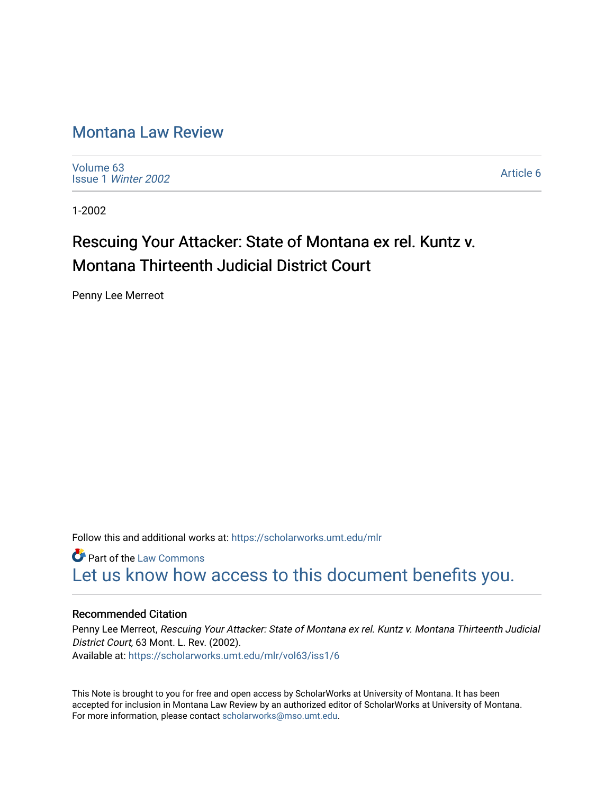## [Montana Law Review](https://scholarworks.umt.edu/mlr)

[Volume 63](https://scholarworks.umt.edu/mlr/vol63) Issue 1 [Winter 2002](https://scholarworks.umt.edu/mlr/vol63/iss1) 

[Article 6](https://scholarworks.umt.edu/mlr/vol63/iss1/6) 

1-2002

# Rescuing Your Attacker: State of Montana ex rel. Kuntz v. Montana Thirteenth Judicial District Court

Penny Lee Merreot

Follow this and additional works at: [https://scholarworks.umt.edu/mlr](https://scholarworks.umt.edu/mlr?utm_source=scholarworks.umt.edu%2Fmlr%2Fvol63%2Fiss1%2F6&utm_medium=PDF&utm_campaign=PDFCoverPages) 

**C** Part of the [Law Commons](http://network.bepress.com/hgg/discipline/578?utm_source=scholarworks.umt.edu%2Fmlr%2Fvol63%2Fiss1%2F6&utm_medium=PDF&utm_campaign=PDFCoverPages) [Let us know how access to this document benefits you.](https://goo.gl/forms/s2rGfXOLzz71qgsB2) 

#### Recommended Citation

Penny Lee Merreot, Rescuing Your Attacker: State of Montana ex rel. Kuntz v. Montana Thirteenth Judicial District Court, 63 Mont. L. Rev. (2002). Available at: [https://scholarworks.umt.edu/mlr/vol63/iss1/6](https://scholarworks.umt.edu/mlr/vol63/iss1/6?utm_source=scholarworks.umt.edu%2Fmlr%2Fvol63%2Fiss1%2F6&utm_medium=PDF&utm_campaign=PDFCoverPages) 

This Note is brought to you for free and open access by ScholarWorks at University of Montana. It has been accepted for inclusion in Montana Law Review by an authorized editor of ScholarWorks at University of Montana. For more information, please contact [scholarworks@mso.umt.edu.](mailto:scholarworks@mso.umt.edu)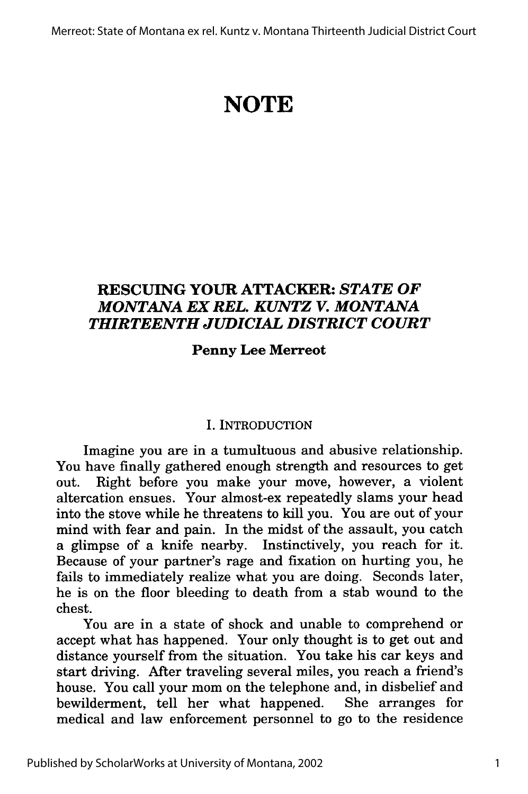Merreot: State of Montana ex rel. Kuntz v. Montana Thirteenth Judicial District Court

# **NOTE**

## **RESCUING YOUR ATTACKER:** *STATE OF MONTANA EX REL. KUNTZ V. MONTANA THIRTEENTH JUDICIAL DISTRICT COURT*

#### **Penny Lee Merreot**

#### **I.** INTRODUCTION

Imagine you are in a tumultuous and abusive relationship. You have finally gathered enough strength and resources to get out. Right before you make your move, however, a violent altercation ensues. Your almost-ex repeatedly slams your head into the stove while he threatens to kill you. You are out of your mind with fear and pain. In the midst of the assault, you catch a glimpse of a knife nearby. Instinctively, you reach for it. Because of your partner's rage and fixation on hurting you, he fails to immediately realize what you are doing. Seconds later, he is on the floor bleeding to death from a stab wound to the chest.

You are in a state of shock and unable to comprehend or accept what has happened. Your only thought is to get out and distance yourself from the situation. You take his car keys and start driving. After traveling several miles, you reach a friend's house. You call your mom on the telephone and, in disbelief and bewilderment, tell her what happened. She arranges for medical and law enforcement personnel to go to the residence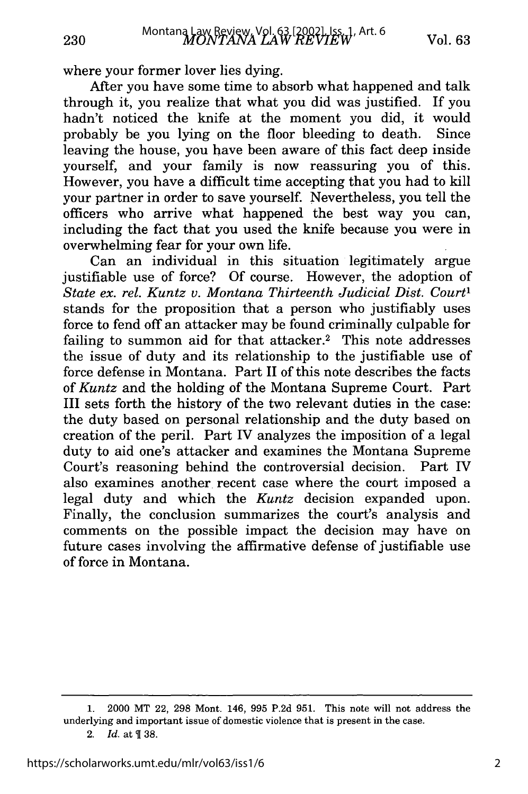where your former lover lies dying.

After you have some time to absorb what happened and talk through it, you realize that what you did was justified. If you hadn't noticed the knife at the moment you did, it would probably be you lying on the floor bleeding to death. Since leaving the house, you have been aware of this fact deep inside yourself, and your family is now reassuring you of this. However, you have a difficult time accepting that you had to kill your partner in order to save yourself. Nevertheless, you tell the officers who arrive what happened the best way you can, including the fact that you used the knife because you were in overwhelming fear for your own life.

Can an individual in this situation legitimately argue justifiable use of force? Of course. However, the adoption of *State ex. rel. Kuntz v. Montana Thirteenth Judicial Dist. Court'* stands for the proposition that a person who justifiably uses force to fend off an attacker may be found criminally culpable for failing to summon aid for that attacker.<sup>2</sup> This note addresses the issue of duty and its relationship to the justifiable use of force defense in Montana. Part II of this note describes the facts of *Kuntz* and the holding of the Montana Supreme Court. Part III sets forth the history of the two relevant duties in the case: the duty based on personal relationship and the duty based on creation of the peril. Part IV analyzes the imposition of a legal duty to aid one's attacker and examines the Montana Supreme Court's reasoning behind the controversial decision. Part IV also examines another recent case where the court imposed a legal duty and which the *Kuntz* decision expanded upon. Finally, the conclusion summarizes the court's analysis and comments on the possible impact the decision may have on future cases involving the affirmative defense of justifiable use of force in Montana.

<sup>1. 2000</sup> MT 22, 298 Mont. 146, 995 P.2d 951. This note will not address the underlying and important issue of domestic violence that is present in the case. 2. *Id.* at  $\sqrt{$  38.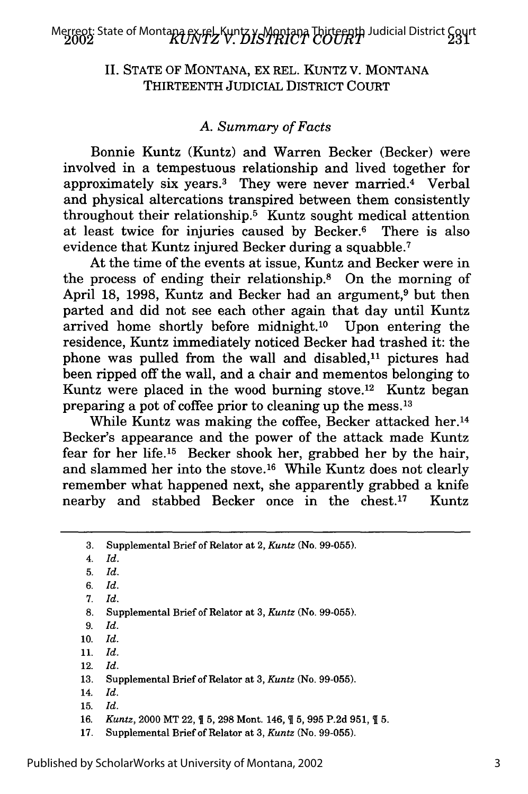## Merreot: State of Monta<del>na ex rel. Kuntz Y. Montana</del> Thirteenth Judicial District Court<br>2002

#### II. STATE OF MONTANA, EX REL. KUNTZ V. MONTANA THIRTEENTH JUDICIAL DISTRICT COURT

#### *A. Summary of Facts*

Bonnie Kuntz (Kuntz) and Warren Becker (Becker) were involved in a tempestuous relationship and lived together for approximately six years.<sup>3</sup> They were never married.<sup>4</sup> Verbal and physical altercations transpired between them consistently throughout their relationship.<sup>5</sup> Kuntz sought medical attention at least twice for injuries caused by Becker.6 There is also evidence that Kuntz injured Becker during a squabble.<sup>7</sup>

At the time of the events at issue, Kuntz and Becker were in the process of ending their relationship.8 On the morning of April 18, 1998, Kuntz and Becker had an argument,<sup>9</sup> but then parted and did not see each other again that day until Kuntz arrived home shortly before midnight. 10 Upon entering the residence, Kuntz immediately noticed Becker had trashed it: the phone was pulled from the wall and disabled,<sup>11</sup> pictures had been ripped off the wall, and a chair and mementos belonging to Kuntz were placed in the wood burning stove.<sup>12</sup> Kuntz began preparing a pot of coffee prior to cleaning up the mess. $^{13}$ 

While Kuntz was making the coffee, Becker attacked her.<sup>14</sup> Becker's appearance and the power of the attack made Kuntz fear for her life. 15 Becker shook her, grabbed her by the hair, and slammed her into the stove.<sup>16</sup> While Kuntz does not clearly remember what happened next, she apparently grabbed a knife nearby and stabbed Becker once in the chest. $17$  Kuntz

- 9. *Id.*
- 10. *Id.*
- 11. *Id.*
- 12. *Id.*
- 13. Supplemental Brief of Relator at 3, *Kuntz* (No. 99-055).
- 14. *Id.*
- 15. *Id.*

17. Supplemental Brief of Relator at 3, *Kuntz* (No. 99-055).

<sup>3.</sup> Supplemental Brief of Relator at 2, *Kuntz* (No. 99-055).

<sup>4.</sup> *Id.*

<sup>5.</sup> *Id.*

<sup>6.</sup> *Id.*

*<sup>7.</sup> Id.*

**<sup>8.</sup>** Supplemental Brief of Relator at 3, *Kuntz* (No. 99-055).

<sup>16.</sup> *Kuntz*, 2000 MT 22, **1** 5, 298 Mont. 146, 1 5, 995 P.2d 951, 1 5.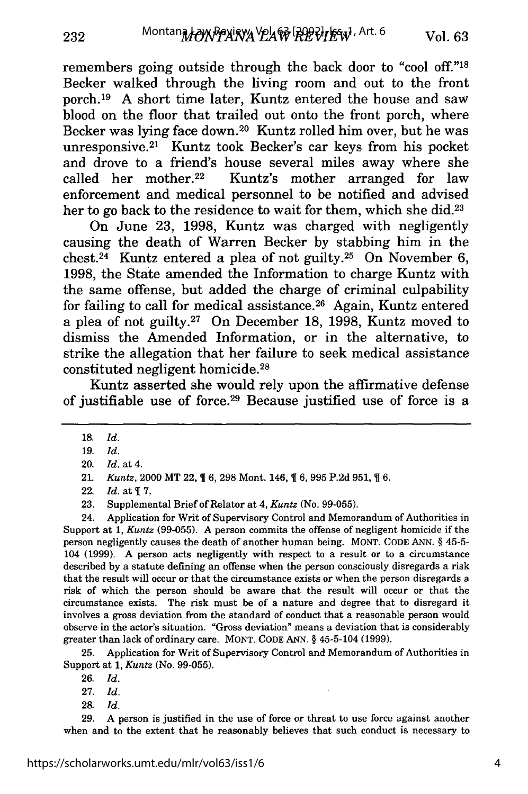remembers going outside through the back door to "cool off."18 Becker walked through the living room and out to the front porch. 19 A short time later, Kuntz entered the house and saw blood on the floor that trailed out onto the front porch, where Becker was lying face down.20 Kuntz rolled him over, but he was unresponsive. 21 Kuntz took Becker's car keys from his pocket and drove to a friend's house several miles away where she called her mother.22 Kuntz's mother arranged for law enforcement and medical personnel to be notified and advised her to go back to the residence to wait for them, which she did.<sup>23</sup>

On June 23, 1998, Kuntz was charged with negligently causing the death of Warren Becker by stabbing him in the chest.<sup>24</sup> Kuntz entered a plea of not guilty.<sup>25</sup> On November 6, 1998, the State amended the Information to charge Kuntz with the same offense, but added the charge of criminal culpability for failing to call for medical assistance. 26 Again, Kuntz entered a plea of not guilty. 27 On December 18, 1998, Kuntz moved to dismiss the Amended Information, or in the alternative, to strike the allegation that her failure to seek medical assistance constituted negligent homicide.<sup>28</sup>

Kuntz asserted she would rely upon the affirmative defense of justifiable use of force. 29 Because justified use of force is a

24. Application for Writ of Supervisory Control and Memorandum of Authorities in Support at 1, *Kuntz* (99-055). A person commits the offense of negligent homicide if the person negligently causes the death of another human being. MONT. CODE ANN. § 45-5- 104 (1999). A person acts negligently with respect to a result or to a circumstance described by a statute defining an offense when the person consciously disregards a risk that the result will occur or that the circumstance exists or when the person disregards a risk of which the person should be aware that the result will occur or that the circumstance exists. The risk must be of a nature and degree that to disregard it involves a gross deviation from the standard of conduct that a reasonable person would observe in the actor's situation. "Gross deviation" means a deviation that is considerably greater than lack of ordinary care. MONT. CODE ANN. § 45-5-104 (1999).

25. Application for Writ of Supervisory Control and Memorandum of Authorities in Support at 1, *Kuntz* (No. 99-055).

- 27. *Id.*
- 28. *Id.*

29. A person is justified in the use of force or threat to use force against another when and to the extent that he reasonably believes that such conduct is necessary to

<sup>18.</sup> *Id.*

<sup>19.</sup> *Id.*

<sup>20.</sup> *Id.* at 4.

<sup>21.</sup> *Kuntz*, 2000 MT 22, **16**, 298 Mont. 146, **16**, 995 P.2d 951, **16**.

<sup>22.</sup> *Id.* at *7.*

<sup>23.</sup> Supplemental Brief of Relator at 4, *Kuntz* (No. 99-055).

<sup>26.</sup> *Id.*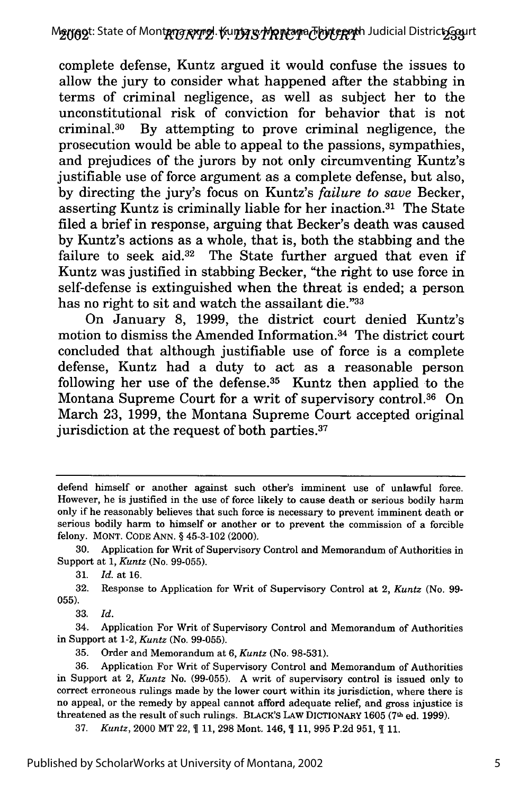complete defense, Kuntz argued it would confuse the issues to allow the jury to consider what happened after the stabbing in terms of criminal negligence, as well as subject her to the unconstitutional risk of conviction for behavior that is not criminal. 30 By attempting to prove criminal negligence, the prosecution would be able to appeal to the passions, sympathies, and prejudices of the jurors by not only circumventing Kuntz's justifiable use of force argument as a complete defense, but also, by directing the jury's focus on Kuntz's *failure to save* Becker, asserting Kuntz is criminally liable for her inaction. 31 The State filed a brief in response, arguing that Becker's death was caused by Kuntz's actions as a whole, that is, both the stabbing and the failure to seek aid.32 The State further argued that even if Kuntz was justified in stabbing Becker, "the right to use force in self-defense is extinguished when the threat is ended; a person has no right to sit and watch the assailant die."33

On January 8, 1999, the district court denied Kuntz's motion to dismiss the Amended Information. 34 The district court concluded that although justifiable use of force is a complete defense, Kuntz had a duty to act as a reasonable person following her use of the defense.<sup>35</sup> Kuntz then applied to the Montana Supreme Court for a writ of supervisory control.36 On March 23, 1999, the Montana Supreme Court accepted original jurisdiction at the request of both parties.37

30. Application for Writ of Supervisory Control and Memorandum of Authorities in Support at 1, *Kuntz* (No. 99-055).

31. *Id.* at 16.

32. Response to Application for Writ of Supervisory Control at 2, *Kuntz* (No. 99- 055).

33. *Id.*

34. Application For Writ of Supervisory Control and Memorandum of Authorities in Support at 1-2, *Kuntz* (No. 99-055).

35. Order and Memorandum at 6, *Kuntz* (No. 98-531).

36. Application For Writ of Supervisory Control and Memorandum of Authorities in Support at 2, *Kuntz* No. (99-055). A writ of supervisory control is issued only to correct erroneous rulings made by the lower court within its jurisdiction, where there is no appeal, or the remedy by appeal cannot afford adequate relief, and gross injustice is threatened as the result of such rulings. BLACK'S LAW DICTIONARY 1605 (7th ed. 1999).

37. *Kuntz*, 2000 MT 22,  $\sqrt{11}$ , 298 Mont. 146,  $\sqrt{11}$ , 995 P.2d 951,  $\sqrt{11}$ .

defend himself or another against such other's imminent use of unlawful force. However, he is justified in the use of force likely to cause death or serious bodily harm only if he reasonably believes that such force is necessary to prevent imminent death or serious bodily harm to himself or another or to prevent the commission of a forcible felony. MONT. CODE ANN. § 45-3-102 (2000).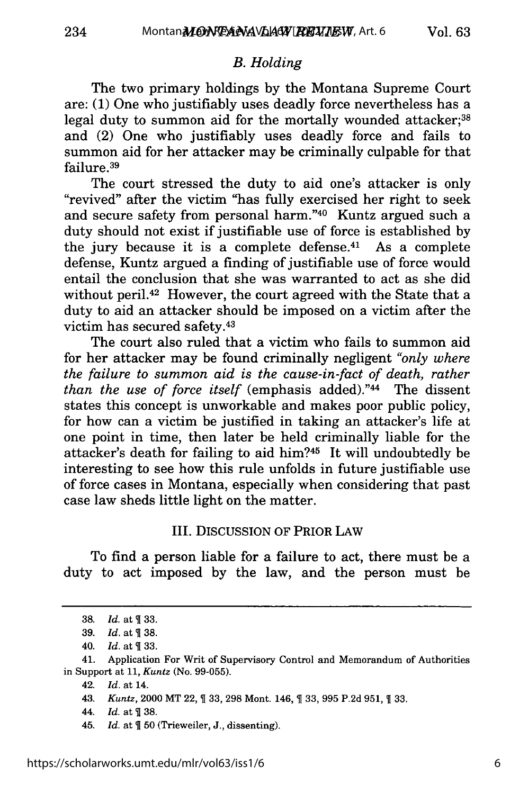#### *B. Holding*

The two primary holdings by the Montana Supreme Court are: (1) One who justifiably uses deadly force nevertheless has a legal duty to summon aid for the mortally wounded attacker;<sup>38</sup> and (2) One who justifiably uses deadly force and fails to summon aid for her attacker may be criminally culpable for that failure **.39**

The court stressed the duty to aid one's attacker is only "revived" after the victim "has fully exercised her right to seek and secure safety from personal harm."40 Kuntz argued such a duty should not exist if justifiable use of force is established by the jury because it is a complete defense. $41$  As a complete defense, Kuntz argued a finding of justifiable use of force would entail the conclusion that she was warranted to act as she did without peril.<sup>42</sup> However, the court agreed with the State that a duty to aid an attacker should be imposed on a victim after the victim has secured safety.<sup>43</sup>

The court also ruled that a victim who fails to summon aid for her attacker may be found criminally negligent *"only where the failure to summon aid is the cause-in-fact of death, rather than the use of force itself* (emphasis added)."44 The dissent states this concept is unworkable and makes poor public policy, for how can a victim be justified in taking an attacker's life at one point in time, then later be held criminally liable for the attacker's death for failing to aid him?<sup>45</sup> It will undoubtedly be interesting to see how this rule unfolds in future justifiable use of force cases in Montana, especially when considering that past case law sheds little light on the matter.

#### III. DISCUSSION OF PRIOR LAW

To find a person liable for a failure to act, there must be a duty to act imposed by the law, and the person must be

<sup>38.</sup> *Id.* at T 33.

<sup>39.</sup> *Id.* at ¶ 38.

<sup>40.</sup> *Id.* at  $\sqrt{$  33.

<sup>41.</sup> Application For Writ of Supervisory Control and Memorandum of Authorities in Support at 11, *Kuntz* (No. 99-055).

<sup>42.</sup> *Id.* at 14.

<sup>43.</sup> *Kuntz*, 2000 MT 22,  $\sqrt{ }$  33, 298 Mont. 146,  $\sqrt{ }$  33, 995 P.2d 951,  $\sqrt{ }$  33.

<sup>44.</sup> *Id.* at **1** 38.

<sup>45.</sup> *Id.* at  $\sqrt{\ }$  50 (Trieweiler, J., dissenting).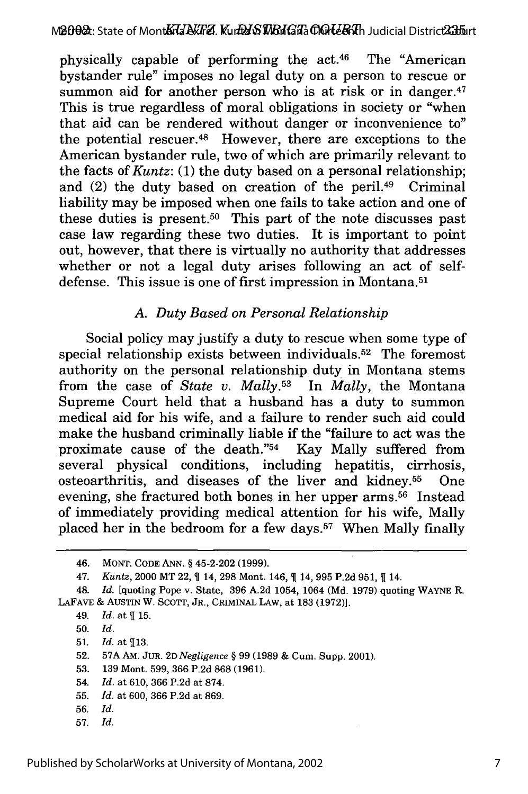physically capable of performing the act.46 The "American bystander rule" imposes no legal duty on a person to rescue or summon aid for another person who is at risk or in danger. $47$ This is true regardless of moral obligations in society or "when that aid can be rendered without danger or inconvenience to" the potential rescuer. 48 However, there are exceptions to the American bystander rule, two of which are primarily relevant to the facts of *Kuntz:* (1) the duty based on a personal relationship; and  $(2)$  the duty based on creation of the peril.<sup>49</sup> Criminal liability may be imposed when one fails to take action and one of these duties is present.50 This part of the note discusses past case law regarding these two duties. It is important to point out, however, that there is virtually no authority that addresses whether or not a legal duty arises following an act of selfdefense. This issue is one of first impression in Montana.<sup>51</sup>

## *A. Duty Based on Personal Relationship*

Social policy may justify a duty to rescue when some type of special relationship exists between individuals.<sup>52</sup> The foremost authority on the personal relationship duty in Montana stems from the case of *State v. Mally.53* In *Mally,* the Montana Supreme Court held that a husband has a duty to summon medical aid for his wife, and a failure to render such aid could make the husband criminally liable if the "failure to act was the proximate cause of the death."54 Kay Mally suffered from several physical conditions, including hepatitis, cirrhosis, osteoarthritis, and diseases of the liver and kidney. 55 One evening, she fractured both bones in her upper arms. 56 Instead of immediately providing medical attention for his wife, Mally placed her in the bedroom for a few days.<sup>57</sup> When Mally finally

51. *Id.* at 113.

- 53. 139 Mont. 599, 366 P.2d 868 (1961).
- 54. *Id.* at 610, 366 P.2d at 874.
- 55. *Id.* at 600, 366 P.2d at 869.
- 56. *Id.*
- 57. *Id.*

<sup>46.</sup> MONT. CODE ANN. § 45-2-202 (1999).

<sup>47.</sup> *Kuntz*, 2000 MT 22,  $\sqrt{$  14, 298 Mont. 146,  $\sqrt{$  14, 995 P.2d 951,  $\sqrt{$  14.

<sup>48.</sup> *Id.* [quoting Pope v. State, 396 A.2d 1054, 1064 (Md. 1979) quoting WAYNE R. LAFAVE **&** AUSTIN W. **SCOTT,** JR., CRIMINAL LAW, at 183 (1972)].

<sup>49.</sup> *Id.* at  $\P$  15.

<sup>50.</sup> *Id.*

<sup>52. 57</sup>A AM. JUR. *2DNegligence §* 99 (1989 & Cum. Supp. 2001).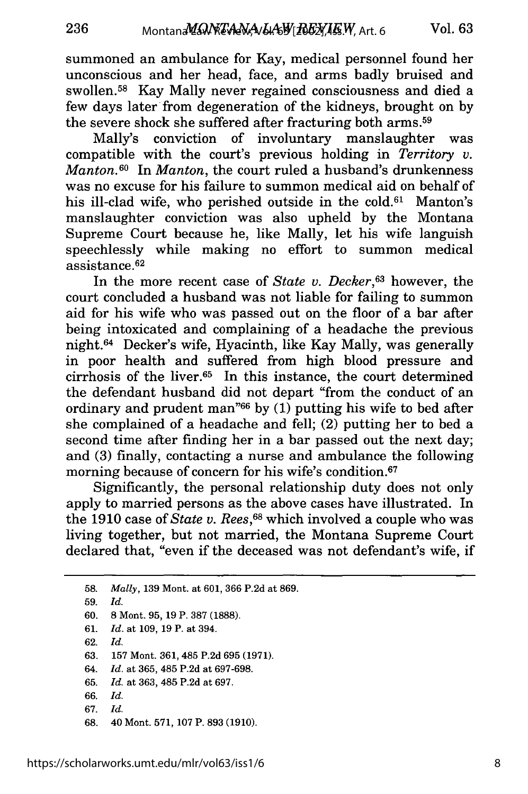summoned an ambulance for Kay, medical personnel found her unconscious and her head, face, and arms badly bruised and swollen.<sup>58</sup> Kay Mally never regained consciousness and died a few days later from degeneration of the kidneys, brought on by the severe shock she suffered after fracturing both arms. <sup>59</sup>

Mally's conviction of involuntary manslaughter was compatible with the court's previous holding in *Territory v. Manton.60* In *Manton,* the court ruled a husband's drunkenness was no excuse for his failure to summon medical aid on behalf of his ill-clad wife, who perished outside in the cold.<sup>61</sup> Manton's manslaughter conviction was also upheld by the Montana Supreme Court because he, like Mally, let his wife languish speechlessly while making no effort to summon medical assistance .62

In the more recent case of *State v. Decker,63* however, the court concluded a husband was not liable for failing to summon aid for his wife who was passed out on the floor of a bar after being intoxicated and complaining of a headache the previous night.64 Decker's wife, Hyacinth, like Kay Mally, was generally in poor health and suffered from high blood pressure and cirrhosis of the liver. 65 In this instance, the court determined the defendant husband did not depart "from the conduct of an ordinary and prudent man"66 by (1) putting his wife to bed after she complained of a headache and fell; (2) putting her to bed a second time after finding her in a bar passed out the next day; and (3) finally, contacting a nurse and ambulance the following morning because of concern for his wife's condition. <sup>67</sup>

Significantly, the personal relationship duty does not only apply to married persons as the above cases have illustrated. In the 1910 case of State v. Rees,<sup>68</sup> which involved a couple who was living together, but not married, the Montana Supreme Court declared that, "even if the deceased was not defendant's wife, if

58. *Mally,* 139 Mont. at 601, 366 P.2d at 869. 59. *Id.* 60. 8 Mont. 95, 19 P. 387 (1888). 61. *Id.* at 109, 19 P. at 394. 62. *Id.* 63. 157 Mont. 361, 485 P.2d 695 (1971). 64. *Id.* at 365, 485 P.2d at 697-698. 65. *Id.* at 363, 485 P.2d at 697. 66. *Id.* 67. *Id.* 68. 40 Mont. 571, 107 P. 893 (1910).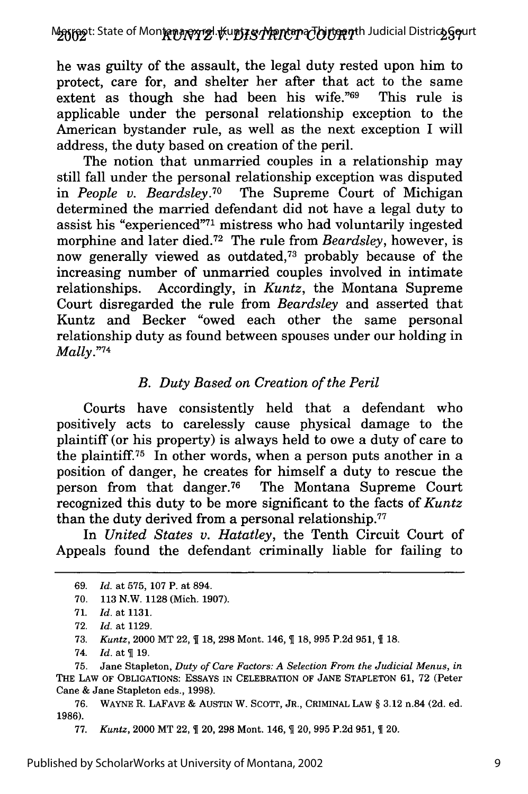he was guilty of the assault, the legal duty rested upon him to protect, care for, and shelter her after that act to the same extent as though she had been his wife." $69$  This rule is applicable under the personal relationship exception to the American bystander rule, as well as the next exception I will address, the duty based on creation of the peril.

The notion that unmarried couples in a relationship may still fall under the personal relationship exception was disputed in *People v. Beardsley.70* The Supreme Court of Michigan determined the married defendant did not have a legal duty to assist his "experienced" $71$  mistress who had voluntarily ingested morphine and later died. 72 The rule from *Beardsley,* however, is now generally viewed as outdated,<sup>73</sup> probably because of the increasing number of unmarried couples involved in intimate relationships. Accordingly, in *Kuntz,* the Montana Supreme Court disregarded the rule from *Beardsley* and asserted that Kuntz and Becker "owed each other the same personal relationship duty as found between spouses under our holding in *Mally.*"74

## *B. Duty Based on Creation of the Peril*

Courts have consistently held that a defendant who positively acts to carelessly cause physical damage to the plaintiff (or his property) is always held to owe a duty of care to the plaintiff.75 In other words, when a person puts another in a position of danger, he creates for himself a duty to rescue the person from that danger.<sup>76</sup> The Montana Supreme Court recognized this duty to be more significant to the facts of *Kuntz* than the duty derived from a personal relationship.<sup>77</sup>

In *United States v. Hatatley,* the Tenth Circuit Court of Appeals found the defendant criminally liable for failing to

76. WAYNE R. LAFAVE & AUSTIN W. SCOTT, JR., CRIMINAL LAW § 3.12 n.84 (2d. ed. 1986).

77. *Kuntz*, 2000 MT 22,  $\sqrt{ }$  20, 298 Mont. 146,  $\sqrt{ }$  20, 995 P.2d 951,  $\sqrt{ }$  20.

<sup>69.</sup> *Id.* at 575, 107 P. at 894.

<sup>70. 113</sup> N.W. 1128 (Mich. 1907).

<sup>71.</sup> *Id.* at 1131.

<sup>72.</sup> *Id.* at 1129.

<sup>73.</sup> *Kuntz*, 2000 MT 22,  $\sqrt{$  18, 298 Mont. 146,  $\sqrt{$  18, 995 P.2d 951,  $\sqrt{$  18.

<sup>74.</sup> *Id.* at  $\sqrt{19}$ .

<sup>75.</sup> Jane Stapleton, *Duty of Care Factors: A Selection From the Judicial Menus, in* THE LAW OF OBLIGATIONS: ESSAYS IN CELEBRATION OF JANE STAPLETON 61, 72 (Peter Cane & Jane Stapleton eds., 1998).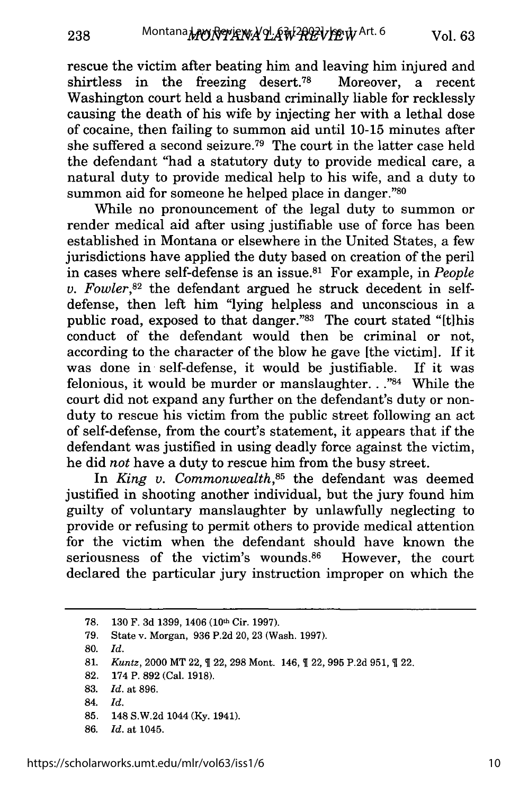rescue the victim after beating him and leaving him injured and shirtless in the freezing desert.78 Moreover, a recent Washington court held a husband criminally liable for recklessly causing the death of his wife by injecting her with a lethal dose of cocaine, then failing to summon aid until 10-15 minutes after she suffered a second seizure.79 The court in the latter case held the defendant "had a statutory duty to provide medical care, a natural duty to provide medical help to his wife, and a duty to summon aid for someone he helped place in danger."80

While no pronouncement of the legal duty to summon or render medical aid after using justifiable use of force has been established in Montana or elsewhere in the United States, a few jurisdictions have applied the duty based on creation of the peril in cases where self-defense is an issue.81 For example, in *People v. Fowler*,<sup>82</sup> the defendant argued he struck decedent in selfdefense, then left him "lying helpless and unconscious in a public road, exposed to that danger."<sup>83</sup> The court stated "[t]his conduct of the defendant would then be criminal or not, according to the character of the blow he gave [the victim]. If it was done in self-defense, it would be justifiable. If it was felonious, it would be murder or manslaughter..." $84$  While the court did not expand any further on the defendant's duty or nonduty to rescue his victim from the public street following an act of self-defense, from the court's statement, it appears that if the defendant was justified in using deadly force against the victim, he did *not* have a duty to rescue him from the busy street.

In *King v. Commonwealth,85* the defendant was deemed justified in shooting another individual, but the jury found him guilty of voluntary manslaughter by unlawfully neglecting to provide or refusing to permit others to provide medical attention for the victim when the defendant should have known the seriousness of the victim's wounds.<sup>86</sup> However, the court declared the particular jury instruction improper on which the

- **79.** State v. Morgan, **936 P.2d** 20, **23** (Wash. **1997).**
- **80.** *Id.*

- 84. *Id.*
- **85.** 148 **S.W.2d** 1044 **(Ky.** 1941).
- **86.** *Id.* at 1045.

**<sup>78. 130</sup>** F. **3d 1399,** 1406 (10th Cir. **1997).**

**<sup>81.</sup>** *Kuntz,* 2000 MT 22, 22, **298** Mont. 146, I 22, **995 P.2d 951,** 22.

**<sup>82.</sup>** 174 P. **892** (Cal. **1918).**

**<sup>83.</sup>** *Id.* at **896.**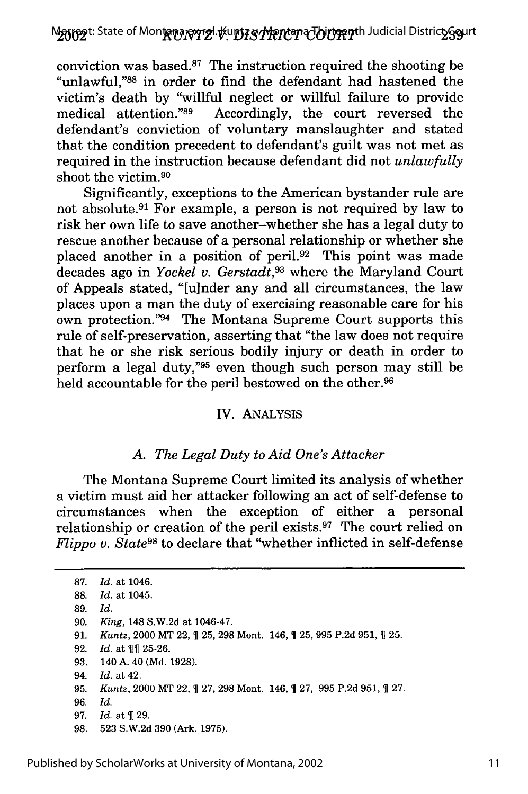conviction was based. $87$  The instruction required the shooting be "unlawful,"88 in order to find the defendant had hastened the victim's death by "willful neglect or willful failure to provide medical attention."<sup>89</sup> Accordingly, the court reversed the defendant's conviction of voluntary manslaughter and stated that the condition precedent to defendant's guilt was not met as required in the instruction because defendant did not *unlawfully* shoot the victim.90

Significantly, exceptions to the American bystander rule are not absolute.<sup>91</sup> For example, a person is not required by law to risk her own life to save another-whether she has a legal duty to rescue another because of a personal relationship or whether she placed another in a position of peril.<sup>92</sup> This point was made decades ago in *Yockel v. Gerstadt,93* where the Maryland Court of Appeals stated, "[ulnder any and all circumstances, the law places upon a man the duty of exercising reasonable care for his own protection."94 The Montana Supreme Court supports this rule of self-preservation, asserting that "the law does not require that he or she risk serious bodily injury or death in order to perform a legal duty,"95 even though such person may still be held accountable for the peril bestowed on the other.<sup>96</sup>

#### IV. ANALYSIS

#### *A. The Legal Duty to Aid One's Attacker*

The Montana Supreme Court limited its analysis of whether a victim must aid her attacker following an act of self-defense to circumstances when the exception of either a personal relationship or creation of the peril exists.<sup>97</sup> The court relied on *Flippo v. State98* to declare that "whether inflicted in self-defense

<sup>87.</sup> *Id.* at 1046. 88. *Id.* at 1045. 89. *Id.* 90. *King,* 148 S.W.2d at 1046-47. 91. *Kuntz*, 2000 MT 22,  $\sqrt{2}$  25, 298 Mont. 146,  $\sqrt{2}$  25, 995 P.2d 951,  $\sqrt{2}$  25. 92. *Id.* at  $\P\P$  25-26. 93. 140 A. 40 (Md. 1928). 94. *Id.* at 42. 95. *Kuntz*, 2000 MT 22,  $\mathbb{I}$  27, 298 Mont. 146,  $\mathbb{I}$  27, 995 P.2d 951,  $\mathbb{I}$  27. **96.** *Id.* 97. *Id.* at  $\P$  29. 98. 523 S.W.2d 390 (Ark. 1975).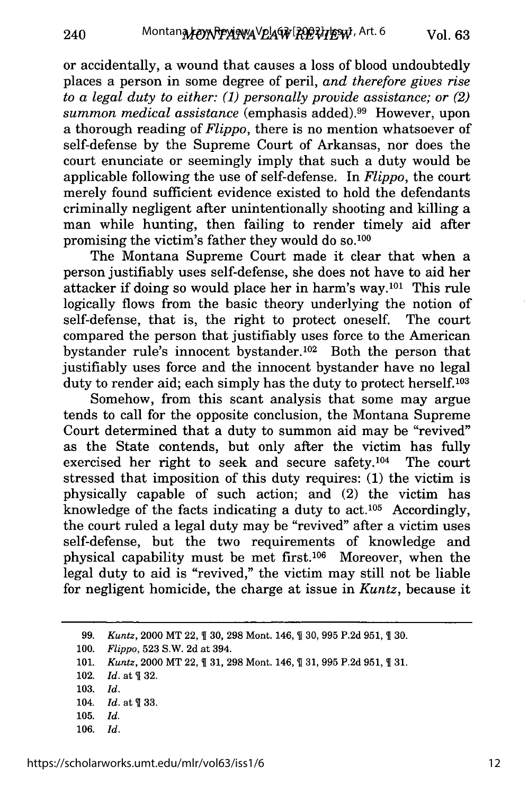or accidentally, a wound that causes a loss of blood undoubtedly places a person in some degree of peril, *and therefore gives rise to a legal duty to either: (1) personally provide assistance; or (2) summon medical assistance* (emphasis added).99 However, upon a thorough reading of *Flippo,* there is no mention whatsoever of self-defense by the Supreme Court of Arkansas, nor does the court enunciate or seemingly imply that such a duty would be applicable following the use of self-defense. In *Flippo,* the court merely found sufficient evidence existed to hold the defendants criminally negligent after unintentionally shooting and killing a man while hunting, then failing to render timely aid after promising the victim's father they would do so.<sup>100</sup>

The Montana Supreme Court made it clear that when a person justifiably uses self-defense, she does not have to aid her attacker if doing so would place her in harm's way.101 This rule logically flows from the basic theory underlying the notion of self-defense, that is, the right to protect oneself. The court compared the person that justifiably uses force to the American bystander rule's innocent bystander.<sup>102</sup> Both the person that justifiably uses force and the innocent bystander have no legal duty to render aid; each simply has the duty to protect herself. $^{103}$ 

Somehow, from this scant analysis that some may argue tends to call for the opposite conclusion, the Montana Supreme Court determined that a duty to summon aid may be "revived" as the State contends, but only after the victim has fully exercised her right to seek and secure safety.<sup>104</sup> The court stressed that imposition of this duty requires: (1) the victim is physically capable of such action; and (2) the victim has knowledge of the facts indicating a duty to act.<sup>105</sup> Accordingly, the court ruled a legal duty may be "revived" after a victim uses self-defense, but the two requirements of knowledge and physical capability must be met first.<sup>106</sup> Moreover, when the legal duty to aid is "revived," the victim may still not be liable for negligent homicide, the charge at issue in *Kuntz,* because it

**106.** *Id.*

**<sup>99.</sup>** *Kuntz,* 2000 MT 22, **1 30, 298** Mont. 146, ' **30, 995 P.2d 951, 30.**

**<sup>100.</sup>** *Flippo,* **523** S.W. **2d** at 394.

**<sup>101.</sup>** *Kuntz,* 2000 MT 22, **31, 298** Mont. 146, 9 **31, 995 P.2d 951,** 91 **31.**

<sup>102.</sup> *Id.* at  $\sqrt{9}$  32.

**<sup>103.</sup>** *Id.*

<sup>104.</sup> *Id.* at  $\sqrt$  33.

**<sup>105.</sup>** *Id.*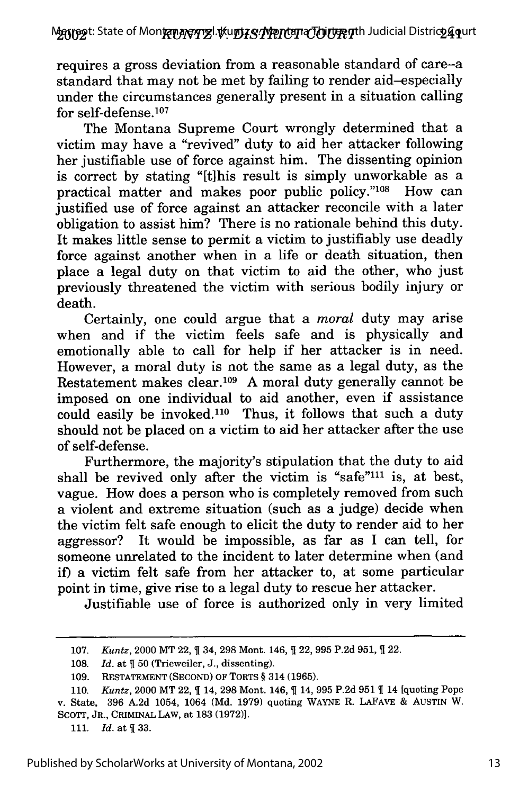requires a gross deviation from a reasonable standard of care-a standard that may not be met by failing to render aid-especially under the circumstances generally present in a situation calling for self-defense. $107$ 

The Montana Supreme Court wrongly determined that a victim may have a "revived" duty to aid her attacker following her justifiable use of force against him. The dissenting opinion is correct by stating "[tihis result is simply unworkable as a practical matter and makes poor public policy." $108$  How can justified use of force against an attacker reconcile with a later obligation to assist him? There is no rationale behind this duty. It makes little sense to permit a victim to justifiably use deadly force against another when in a life or death situation, then place a legal duty on that victim to aid the other, who just previously threatened the victim with serious bodily injury or death.

Certainly, one could argue that a *moral* duty may arise when and if the victim feels safe and is physically and emotionally able to call for help if her attacker is in need. However, a moral duty is not the same as a legal duty, as the Restatement makes clear.<sup>109</sup> A moral duty generally cannot be imposed on one individual to aid another, even if assistance could easily be invoked.<sup>110</sup> Thus, it follows that such a duty should not be placed on a victim to aid her attacker after the use of self-defense.

Furthermore, the majority's stipulation that the duty to aid shall be revived only after the victim is "safe"<sup>111</sup> is, at best, vague. How does a person who is completely removed from such a violent and extreme situation (such as a judge) decide when the victim felt safe enough to elicit the duty to render aid to her aggressor? It would be impossible, as far as I can tell, for someone unrelated to the incident to later determine when (and if) a victim felt safe from her attacker to, at some particular point in time, give rise to a legal duty to rescue her attacker.

Justifiable use of force is authorized only in very limited

<sup>107.</sup> *Kuntz*, 2000 MT 22,  $\parallel$  34, 298 Mont. 146,  $\parallel$  22, 995 P.2d 951,  $\parallel$  22.

<sup>108.</sup> *Id.* at  $\P$  50 (Trieweiler, J., dissenting).

<sup>109.</sup> RESTATEMENT (SECOND) OF TORTS § 314 (1965).

<sup>110.</sup> *Kuntz*, 2000 MT 22,  $\P$  14, 298 Mont. 146,  $\P$  14, 995 P.2d 951  $\P$  14 [quoting Pope v. State, 396 A.2d 1054, 1064 (Md. 1979) quoting WAYNE R. LAFAVE & AUSTIN W. SCOTT, JR., CRIMINAL LAW, at 183 (1972)].

<sup>111.</sup>  $Id.$  at  $\P$  33.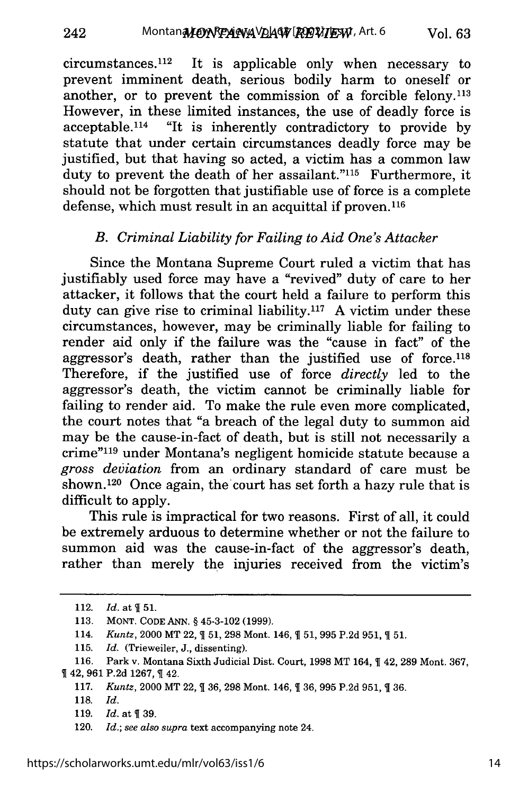circumstances. 112 It is applicable only when necessary to prevent imminent death, serious bodily harm to oneself or another, or to prevent the commission of a forcible felony.113 However, in these limited instances, the use of deadly force is acceptable.<sup>114</sup> "It is inherently contradictory to provide by statute that under certain circumstances deadly force may be justified, but that having so acted, a victim has a common law duty to prevent the death of her assailant."<sup>115</sup> Furthermore, it should not be forgotten that justifiable use of force is a complete defense, which must result in an acquittal if proven.<sup>116</sup>

### *B. Criminal Liability for Failing to Aid One's Attacker*

Since the Montana Supreme Court ruled a victim that has justifiably used force may have a "revived" duty of care to her attacker, it follows that the court held a failure to perform this duty can give rise to criminal liability.<sup>117</sup> A victim under these circumstances, however, may be criminally liable for failing to render aid only if the failure was the "cause in fact" of the aggressor's death, rather than the justified use of force.<sup>118</sup> Therefore, if the justified use of force *directly* led to the aggressor's death, the victim cannot be criminally liable for failing to render aid. To make the rule even more complicated, the court notes that "a breach of the legal duty to summon aid may be the cause-in-fact of death, but is still not necessarily a crime" 119 under Montana's negligent homicide statute because a *gross deviation* from an ordinary standard of care must be shown.<sup>120</sup> Once again, the court has set forth a hazy rule that is difficult to apply.

This rule is impractical for two reasons. First of all, it could be extremely arduous to determine whether or not the failure to summon aid was the cause-in-fact of the aggressor's death, rather than merely the injuries received from the victim's

114. *Kuntz*, 2000 MT 22,  $\sqrt{ }$  51, 298 Mont. 146,  $\sqrt{ }$  51, 995 P.2d 951,  $\sqrt{ }$  51.

120. *Id.; see also supra* text accompanying note 24.

<sup>112.</sup> *Id.* at  $\sqrt{151}$ .

<sup>113.</sup> MONT. CODE ANN. § 45-3-102 (1999).

<sup>115.</sup> *Id.* (Trieweiler, J., dissenting).

<sup>116.</sup> Park v. Montana Sixth Judicial Dist. Court, 1998 MT 164,  $\binom{q}{1}$  42, 289 Mont. 367, 42, 961 P.2d 1267, 42.

<sup>117.</sup> *Kuntz*, 2000 MT 22,  $\sqrt{ }$  36, 298 Mont. 146,  $\sqrt{ }$  36, 995 P.2d 951,  $\sqrt{ }$  36.

<sup>118.</sup> *Id.*

<sup>119.</sup> *Id.* at ¶ 39.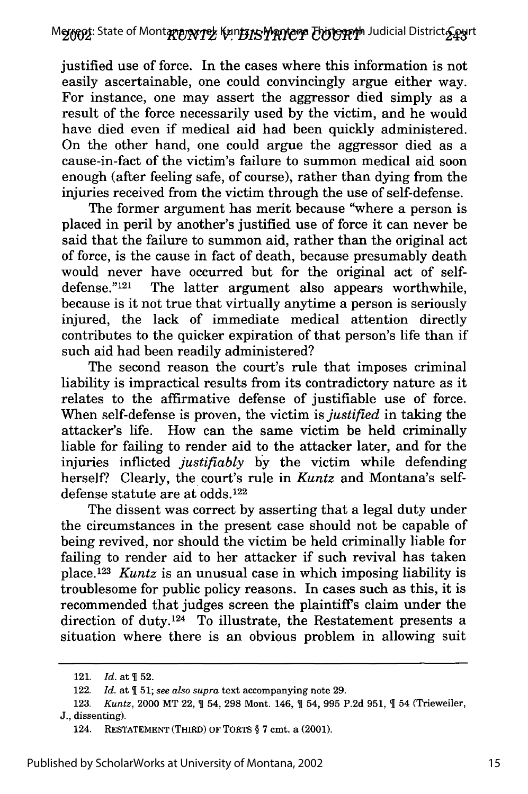justified use of force. In the cases where this information is not easily ascertainable, one could convincingly argue either way. For instance, one may assert the aggressor died simply as a result of the force necessarily used by the victim, and he would have died even if medical aid had been quickly administered. On the other hand, one could argue the aggressor died as a cause-in-fact of the victim's failure to summon medical aid soon enough (after feeling safe, of course), rather than dying from the injuries received from the victim through the use of self-defense.

The former argument has merit because "where a person is placed in peril by another's justified use of force it can never be said that the failure to summon aid, rather than the original act of force, is the cause in fact of death, because presumably death would never have occurred but for the original act of selfdefense."121 The latter argument also appears worthwhile, because is it not true that virtually anytime a person is seriously injured, the lack of immediate medical attention directly contributes to the quicker expiration of that person's life than if such aid had been readily administered?

The second reason the court's rule that imposes criminal liability is impractical results from its contradictory nature as it relates to the affirmative defense of justifiable use of force. When self-defense is proven, the victim is *justified* in taking the attacker's life. How can the same victim be held criminally liable for failing to render aid to the attacker later, and for the injuries inflicted *justifiably* by the victim while defending herself? Clearly, the court's rule in *Kuntz* and Montana's selfdefense statute are at odds.122

The dissent was correct by asserting that a legal duty under the circumstances in the present case should not be capable of being revived, nor should the victim be held criminally liable for failing to render aid to her attacker if such revival has taken place.<sup>123</sup> Kuntz is an unusual case in which imposing liability is troublesome for public policy reasons. In cases such as this, it is recommended that judges screen the plaintiffs claim under the direction of duty. $124$  To illustrate, the Restatement presents a situation where there is an obvious problem in allowing suit

<sup>121.</sup> *Id.* at  $\P$  52.

<sup>122.</sup> *Id.* at  $\sqrt{9}$  51; *see also supra* text accompanying note 29.

<sup>123.</sup> *Kuntz*, 2000 MT 22,  $\sqrt{ }$  54, 298 Mont. 146,  $\sqrt{ }$  54, 995 P.2d 951,  $\sqrt{ }$  54 (Trieweiler, J., dissenting).

<sup>124.</sup> RESTATEMENT (THIRD) OF TORTS § 7 cmt. a (2001).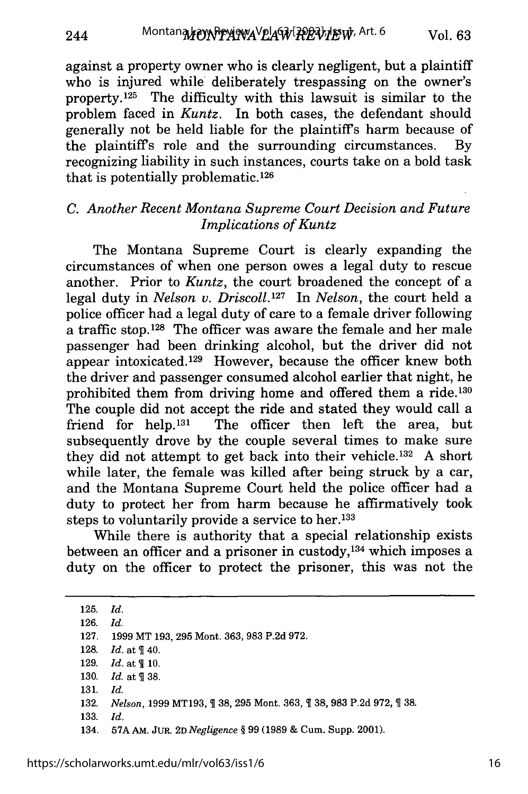against a property owner who is clearly negligent, but a plaintiff who is injured while deliberately trespassing on the owner's property. 125 The difficulty with this lawsuit is similar to the problem faced in *Kuntz.* In both cases, the defendant should generally not be held liable for the plaintiffs harm because of the plaintiffs role and the surrounding circumstances. By recognizing liability in such instances, courts take on a bold task that is potentially problematic. <sup>126</sup>

### *C. Another Recent Montana Supreme Court Decision and Future Implications of Kuntz*

The Montana Supreme Court is clearly expanding the circumstances of when one person owes a legal duty to rescue another. Prior to *Kuntz,* the court broadened the concept of a legal duty in *Nelson v. Driscoll.127* In *Nelson,* the court held a police officer had a legal duty of care to a female driver following a traffic stop.<sup>128</sup> The officer was aware the female and her male passenger had been drinking alcohol, but the driver did not appear intoxicated. 129 However, because the officer knew both the driver and passenger consumed alcohol earlier that night, he prohibited them from driving home and offered them a ride.<sup>130</sup> The couple did not accept the ride and stated they would call a friend for help.13' The officer then left the area, but subsequently drove by the couple several times to make sure they did not attempt to get back into their vehicle.<sup>132</sup> A short while later, the female was killed after being struck by a car, and the Montana Supreme Court held the police officer had a duty to protect her from harm because he affirmatively took steps to voluntarily provide a service to her.<sup>133</sup>

While there is authority that a special relationship exists between an officer and a prisoner in custody, 134 which imposes a duty on the officer to protect the prisoner, this was not the

125. *Id.* 126. *Id.* 127. 1999 MT 193, 295 Mont. 363, 983 P.2d 972. 128. *Id.* at  $\P$  40. 129. *Id.* at \10. 130. *Id.* at  $\sqrt{$  38. 131. *Id.* 132. *Nelson*, 1999 MT193, ¶ 38, 295 Mont. 363, ¶ 38, 983 P.2d 972, ¶ 38. 133. *Id.* 134. 57A AM. JUR. *2DNegligence* § 99 (1989 & Cum. Supp. 2001).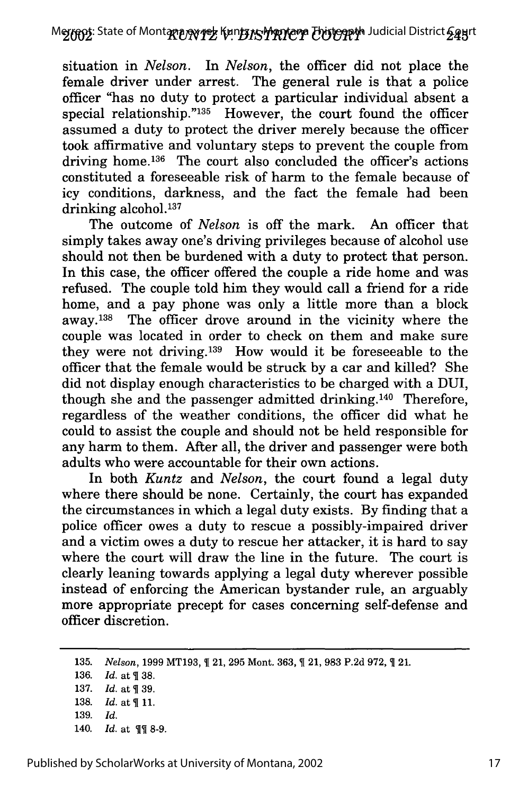situation in *Nelson.* In *Nelson,* the officer did not place the female driver under arrest. The general rule is that a police officer "has no duty to protect a particular individual absent a special relationship." $135$  However, the court found the officer assumed a duty to protect the driver merely because the officer took affirmative and voluntary steps to prevent the couple from driving home.<sup>136</sup> The court also concluded the officer's actions constituted a foreseeable risk of harm to the female because of icy conditions, darkness, and the fact the female had been drinking alcohol.<sup>137</sup>

The outcome of *Nelson* is off the mark. An officer that simply takes away one's driving privileges because of alcohol use should not then be burdened with a duty to protect that person. In this case, the officer offered the couple a ride home and was refused. The couple told him they would call a friend for a ride home, and a pay phone was only a little more than a block away. 138 The officer drove around in the vicinity where the couple was located in order to check on them and make sure they were not driving.<sup>139</sup> How would it be foreseeable to the officer that the female would be struck by a car and killed? She did not display enough characteristics to be charged with a DUI, though she and the passenger admitted drinking.140 Therefore, regardless of the weather conditions, the officer did what he could to assist the couple and should not be held responsible for any harm to them. After all, the driver and passenger were both adults who were accountable for their own actions.

In both *Kuntz* and *Nelson,* the court found a legal duty where there should be none. Certainly, the court has expanded the circumstances in which a legal duty exists. By finding that a police officer owes a duty to rescue a possibly-impaired driver and a victim owes a duty to rescue her attacker, it is hard to say where the court will draw the line in the future. The court is clearly leaning towards applying a legal duty wherever possible instead of enforcing the American bystander rule, an arguably more appropriate precept for cases concerning self-defense and officer discretion.

**135.** *Nelson,* **1999** MT193, 21, **295** Mont. **363,** 21, **983 P.2d 972,** 21. **136.** *Id.* at  $\P$  38. **137.** *Id.* at  $\sqrt{ }$  39. **138.** *Id.* at **11. 139.** *Id.* 140. *Id.* at  $\P\P$ 8-9.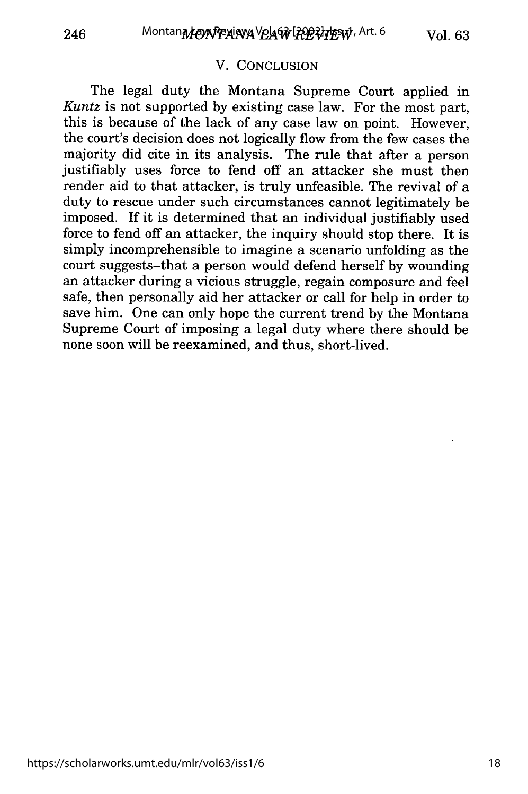#### V. CONCLUSION

The legal duty the Montana Supreme Court applied in *Kuntz* is not supported by existing case law. For the most part, this is because of the lack of any case law on point. However, the court's decision does not logically flow from the few cases the majority did cite in its analysis. The rule that after a person justifiably uses force to fend off an attacker she must then render aid to that attacker, is truly unfeasible. The revival of a duty to rescue under such circumstances cannot legitimately be imposed. If it is determined that an individual justifiably used force to fend off an attacker, the inquiry should stop there. It is simply incomprehensible to imagine a scenario unfolding as the court suggests-that a person would defend herself by wounding an attacker during a vicious struggle, regain composure and feel safe, then personally aid her attacker or call for help in order to save him. One can only hope the current trend by the Montana Supreme Court of imposing a legal duty where there should be none soon will be reexamined, and thus, short-lived.